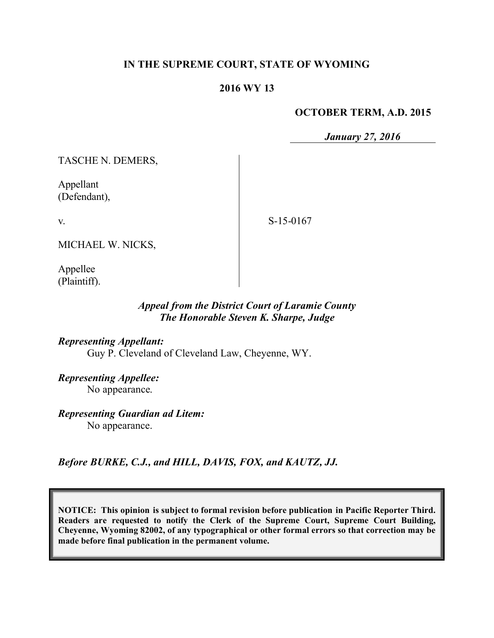### **IN THE SUPREME COURT, STATE OF WYOMING**

### **2016 WY 13**

#### **OCTOBER TERM, A.D. 2015**

*January 27, 2016*

TASCHE N. DEMERS,

Appellant (Defendant),

v.

S-15-0167

MICHAEL W. NICKS,

Appellee (Plaintiff).

### *Appeal from the District Court of Laramie County The Honorable Steven K. Sharpe, Judge*

*Representing Appellant:* Guy P. Cleveland of Cleveland Law, Cheyenne, WY.

*Representing Appellee:*

No appearance.

*Representing Guardian ad Litem:* No appearance.

*Before BURKE, C.J., and HILL, DAVIS, FOX, and KAUTZ, JJ.*

**NOTICE: This opinion is subject to formal revision before publication in Pacific Reporter Third. Readers are requested to notify the Clerk of the Supreme Court, Supreme Court Building, Cheyenne, Wyoming 82002, of any typographical or other formal errors so that correction may be made before final publication in the permanent volume.**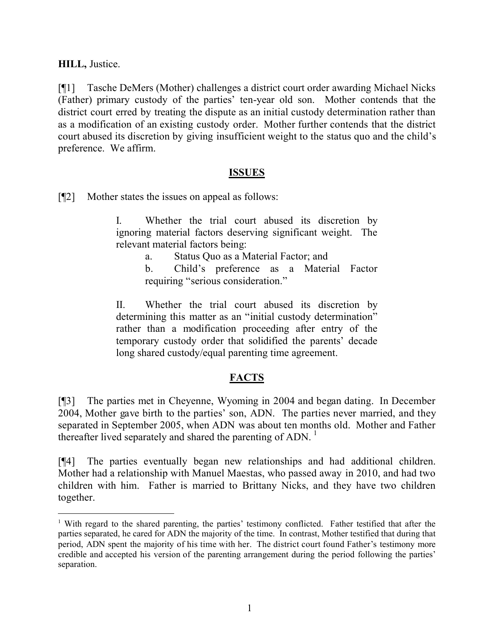**HILL,** Justice.

 $\overline{a}$ 

[¶1] Tasche DeMers (Mother) challenges a district court order awarding Michael Nicks (Father) primary custody of the parties' ten-year old son. Mother contends that the district court erred by treating the dispute as an initial custody determination rather than as a modification of an existing custody order. Mother further contends that the district court abused its discretion by giving insufficient weight to the status quo and the child's preference. We affirm.

### **ISSUES**

[¶2] Mother states the issues on appeal as follows:

I. Whether the trial court abused its discretion by ignoring material factors deserving significant weight. The relevant material factors being:

- a. Status Quo as a Material Factor; and
- b. Child's preference as a Material Factor requiring "serious consideration."

II. Whether the trial court abused its discretion by determining this matter as an "initial custody determination" rather than a modification proceeding after entry of the temporary custody order that solidified the parents' decade long shared custody/equal parenting time agreement.

# **FACTS**

[¶3] The parties met in Cheyenne, Wyoming in 2004 and began dating. In December 2004, Mother gave birth to the parties' son, ADN. The parties never married, and they separated in September 2005, when ADN was about ten months old. Mother and Father thereafter lived separately and shared the parenting of ADN.  $\frac{1}{1}$ 

[¶4] The parties eventually began new relationships and had additional children. Mother had a relationship with Manuel Maestas, who passed away in 2010, and had two children with him. Father is married to Brittany Nicks, and they have two children together.

<sup>1</sup> With regard to the shared parenting, the parties' testimony conflicted. Father testified that after the parties separated, he cared for ADN the majority of the time. In contrast, Mother testified that during that period, ADN spent the majority of his time with her. The district court found Father's testimony more credible and accepted his version of the parenting arrangement during the period following the parties' separation.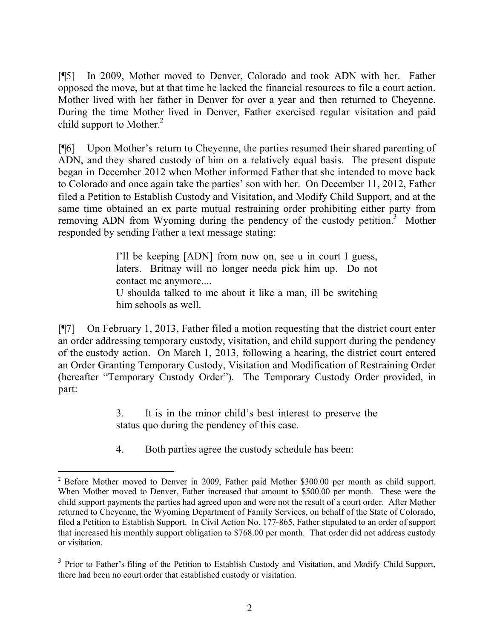[¶5] In 2009, Mother moved to Denver, Colorado and took ADN with her. Father opposed the move, but at that time he lacked the financial resources to file a court action. Mother lived with her father in Denver for over a year and then returned to Cheyenne. During the time Mother lived in Denver, Father exercised regular visitation and paid child support to Mother.<sup>2</sup>

[¶6] Upon Mother's return to Cheyenne, the parties resumed their shared parenting of ADN, and they shared custody of him on a relatively equal basis. The present dispute began in December 2012 when Mother informed Father that she intended to move back to Colorado and once again take the parties' son with her. On December 11, 2012, Father filed a Petition to Establish Custody and Visitation, and Modify Child Support, and at the same time obtained an ex parte mutual restraining order prohibiting either party from removing ADN from Wyoming during the pendency of the custody petition.<sup>3</sup> Mother responded by sending Father a text message stating:

> I'll be keeping [ADN] from now on, see u in court I guess, laters. Britnay will no longer needa pick him up. Do not contact me anymore.... U shoulda talked to me about it like a man, ill be switching him schools as well.

[¶7] On February 1, 2013, Father filed a motion requesting that the district court enter an order addressing temporary custody, visitation, and child support during the pendency of the custody action. On March 1, 2013, following a hearing, the district court entered an Order Granting Temporary Custody, Visitation and Modification of Restraining Order (hereafter "Temporary Custody Order"). The Temporary Custody Order provided, in part:

> 3. It is in the minor child's best interest to preserve the status quo during the pendency of this case.

4. Both parties agree the custody schedule has been:

 <sup>2</sup> Before Mother moved to Denver in 2009, Father paid Mother \$300.00 per month as child support. When Mother moved to Denver, Father increased that amount to \$500.00 per month. These were the child support payments the parties had agreed upon and were not the result of a court order. After Mother returned to Cheyenne, the Wyoming Department of Family Services, on behalf of the State of Colorado, filed a Petition to Establish Support. In Civil Action No. 177-865, Father stipulated to an order of support that increased his monthly support obligation to \$768.00 per month. That order did not address custody or visitation.

<sup>&</sup>lt;sup>3</sup> Prior to Father's filing of the Petition to Establish Custody and Visitation, and Modify Child Support, there had been no court order that established custody or visitation.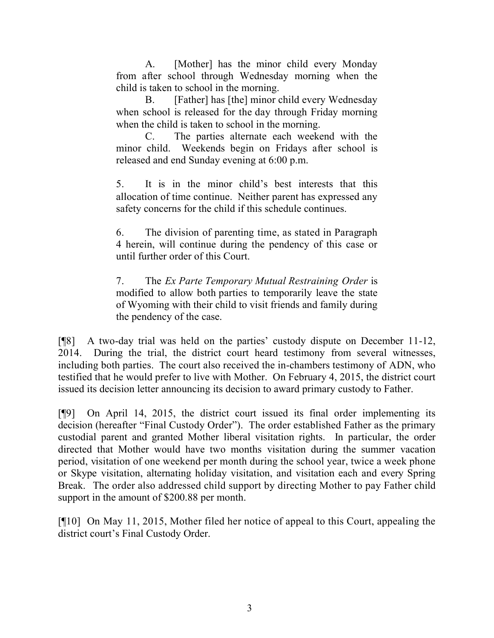A. [Mother] has the minor child every Monday from after school through Wednesday morning when the child is taken to school in the morning.

B. [Father] has [the] minor child every Wednesday when school is released for the day through Friday morning when the child is taken to school in the morning.

C. The parties alternate each weekend with the minor child. Weekends begin on Fridays after school is released and end Sunday evening at 6:00 p.m.

5. It is in the minor child's best interests that this allocation of time continue. Neither parent has expressed any safety concerns for the child if this schedule continues.

6. The division of parenting time, as stated in Paragraph 4 herein, will continue during the pendency of this case or until further order of this Court.

7. The *Ex Parte Temporary Mutual Restraining Order* is modified to allow both parties to temporarily leave the state of Wyoming with their child to visit friends and family during the pendency of the case.

[¶8] A two-day trial was held on the parties' custody dispute on December 11-12, 2014. During the trial, the district court heard testimony from several witnesses, including both parties. The court also received the in-chambers testimony of ADN, who testified that he would prefer to live with Mother. On February 4, 2015, the district court issued its decision letter announcing its decision to award primary custody to Father.

[¶9] On April 14, 2015, the district court issued its final order implementing its decision (hereafter "Final Custody Order"). The order established Father as the primary custodial parent and granted Mother liberal visitation rights. In particular, the order directed that Mother would have two months visitation during the summer vacation period, visitation of one weekend per month during the school year, twice a week phone or Skype visitation, alternating holiday visitation, and visitation each and every Spring Break. The order also addressed child support by directing Mother to pay Father child support in the amount of \$200.88 per month.

[¶10] On May 11, 2015, Mother filed her notice of appeal to this Court, appealing the district court's Final Custody Order.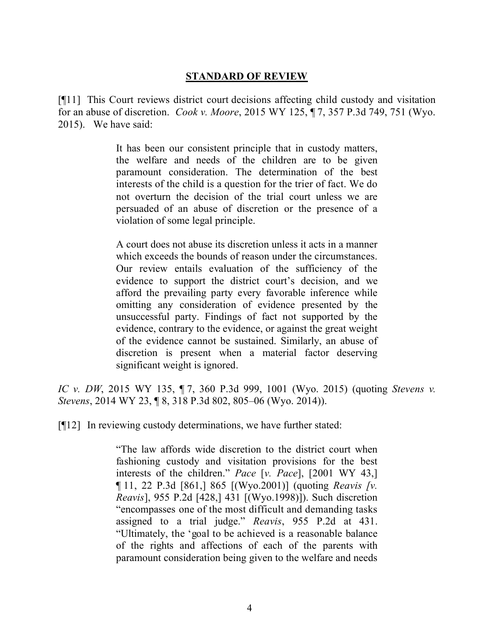### **STANDARD OF REVIEW**

[¶11] This Court reviews district court decisions affecting child custody and visitation for an abuse of discretion. *Cook v. Moore*, 2015 WY 125, ¶ 7, 357 P.3d 749, 751 (Wyo. 2015). We have said:

> It has been our consistent principle that in custody matters, the welfare and needs of the children are to be given paramount consideration. The determination of the best interests of the child is a question for the trier of fact. We do not overturn the decision of the trial court unless we are persuaded of an abuse of discretion or the presence of a violation of some legal principle.

> A court does not abuse its discretion unless it acts in a manner which exceeds the bounds of reason under the circumstances. Our review entails evaluation of the sufficiency of the evidence to support the district court's decision, and we afford the prevailing party every favorable inference while omitting any consideration of evidence presented by the unsuccessful party. Findings of fact not supported by the evidence, contrary to the evidence, or against the great weight of the evidence cannot be sustained. Similarly, an abuse of discretion is present when a material factor deserving significant weight is ignored.

*IC v. DW*, 2015 WY 135, ¶ 7, 360 P.3d 999, 1001 (Wyo. 2015) (quoting *Stevens v. Stevens*, 2014 WY 23, ¶ 8, 318 P.3d 802, 805–06 (Wyo. 2014)).

[¶12] In reviewing custody determinations, we have further stated:

"The law affords wide discretion to the district court when fashioning custody and visitation provisions for the best interests of the children." *Pace* [*v. Pace*], [2001 WY 43,] ¶ 11, 22 P.3d [861,] 865 [(Wyo.2001)] (quoting *Reavis [v. Reavis*], 955 P.2d [428,] 431 [(Wyo.1998)]). Such discretion "encompasses one of the most difficult and demanding tasks assigned to a trial judge." *Reavis*, 955 P.2d at 431. "Ultimately, the 'goal to be achieved is a reasonable balance of the rights and affections of each of the parents with paramount consideration being given to the welfare and needs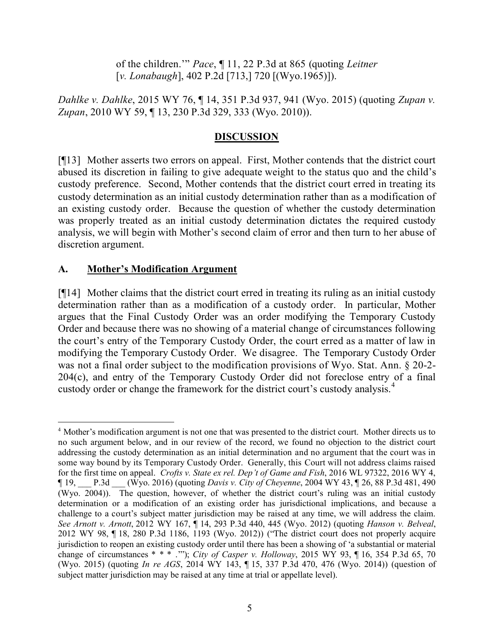of the children.'" *Pace*, ¶ 11, 22 P.3d at 865 (quoting *Leitner*  [*v. Lonabaugh*], 402 P.2d [713,] 720 [(Wyo.1965)]).

*Dahlke v. Dahlke*, 2015 WY 76, ¶ 14, 351 P.3d 937, 941 (Wyo. 2015) (quoting *Zupan v. Zupan*, 2010 WY 59, ¶ 13, 230 P.3d 329, 333 (Wyo. 2010)).

## **DISCUSSION**

[¶13] Mother asserts two errors on appeal. First, Mother contends that the district court abused its discretion in failing to give adequate weight to the status quo and the child's custody preference. Second, Mother contends that the district court erred in treating its custody determination as an initial custody determination rather than as a modification of an existing custody order. Because the question of whether the custody determination was properly treated as an initial custody determination dictates the required custody analysis, we will begin with Mother's second claim of error and then turn to her abuse of discretion argument.

### **A. Mother's Modification Argument**

[¶14] Mother claims that the district court erred in treating its ruling as an initial custody determination rather than as a modification of a custody order. In particular, Mother argues that the Final Custody Order was an order modifying the Temporary Custody Order and because there was no showing of a material change of circumstances following the court's entry of the Temporary Custody Order, the court erred as a matter of law in modifying the Temporary Custody Order. We disagree. The Temporary Custody Order was not a final order subject to the modification provisions of Wyo. Stat. Ann. § 20-2- 204(c), and entry of the Temporary Custody Order did not foreclose entry of a final custody order or change the framework for the district court's custody analysis.<sup>4</sup>

 <sup>4</sup> Mother's modification argument is not one that was presented to the district court. Mother directs us to no such argument below, and in our review of the record, we found no objection to the district court addressing the custody determination as an initial determination and no argument that the court was in some way bound by its Temporary Custody Order. Generally, this Court will not address claims raised for the first time on appeal. *Crofts v. State ex rel. Dep't of Game and Fish*, 2016 WL 97322, 2016 WY 4, ¶ 19, \_\_\_ P.3d \_\_\_ (Wyo. 2016) (quoting *Davis v. City of Cheyenne*, 2004 WY 43, ¶ 26, 88 P.3d 481, 490 (Wyo. 2004)). The question, however, of whether the district court's ruling was an initial custody determination or a modification of an existing order has jurisdictional implications, and because a challenge to a court's subject matter jurisdiction may be raised at any time, we will address the claim. *See Arnott v. Arnott*, 2012 WY 167, ¶ 14, 293 P.3d 440, 445 (Wyo. 2012) (quoting *Hanson v. Belveal*, 2012 WY 98, ¶ 18, 280 P.3d 1186, 1193 (Wyo. 2012)) ("The district court does not properly acquire jurisdiction to reopen an existing custody order until there has been a showing of 'a substantial or material change of circumstances \* \* \* .'"); *City of Casper v. Holloway*, 2015 WY 93, ¶ 16, 354 P.3d 65, 70 (Wyo. 2015) (quoting *In re AGS*, 2014 WY 143, ¶ 15, 337 P.3d 470, 476 (Wyo. 2014)) (question of subject matter jurisdiction may be raised at any time at trial or appellate level).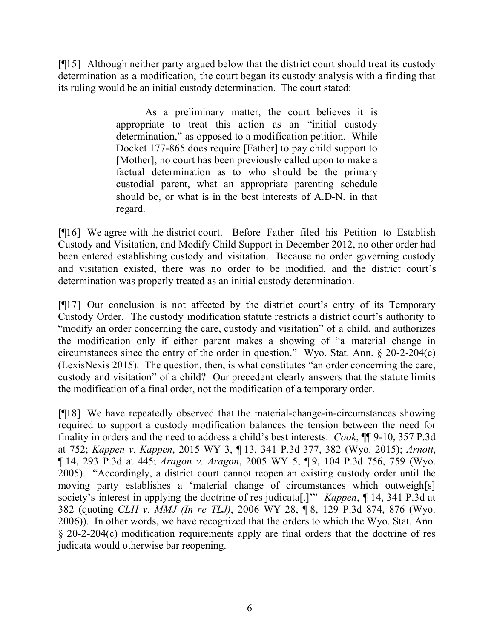[¶15] Although neither party argued below that the district court should treat its custody determination as a modification, the court began its custody analysis with a finding that its ruling would be an initial custody determination. The court stated:

> As a preliminary matter, the court believes it is appropriate to treat this action as an "initial custody determination," as opposed to a modification petition. While Docket 177-865 does require [Father] to pay child support to [Mother], no court has been previously called upon to make a factual determination as to who should be the primary custodial parent, what an appropriate parenting schedule should be, or what is in the best interests of A.D-N. in that regard.

[¶16] We agree with the district court. Before Father filed his Petition to Establish Custody and Visitation, and Modify Child Support in December 2012, no other order had been entered establishing custody and visitation. Because no order governing custody and visitation existed, there was no order to be modified, and the district court's determination was properly treated as an initial custody determination.

[¶17] Our conclusion is not affected by the district court's entry of its Temporary Custody Order. The custody modification statute restricts a district court's authority to "modify an order concerning the care, custody and visitation" of a child, and authorizes the modification only if either parent makes a showing of "a material change in circumstances since the entry of the order in question." Wyo. Stat. Ann. § 20-2-204(c) (LexisNexis 2015). The question, then, is what constitutes "an order concerning the care, custody and visitation" of a child? Our precedent clearly answers that the statute limits the modification of a final order, not the modification of a temporary order.

[¶18] We have repeatedly observed that the material-change-in-circumstances showing required to support a custody modification balances the tension between the need for finality in orders and the need to address a child's best interests. *Cook*, ¶¶ 9-10, 357 P.3d at 752; *Kappen v. Kappen*, 2015 WY 3, ¶ 13, 341 P.3d 377, 382 (Wyo. 2015); *Arnott*, ¶ 14, 293 P.3d at 445; *Aragon v. Aragon*, 2005 WY 5, ¶ 9, 104 P.3d 756, 759 (Wyo. 2005). "Accordingly, a district court cannot reopen an existing custody order until the moving party establishes a 'material change of circumstances which outweigh[s] society's interest in applying the doctrine of res judicata[.]'" *Kappen*, ¶ 14, 341 P.3d at 382 (quoting *CLH v. MMJ (In re TLJ)*, 2006 WY 28, ¶ 8, 129 P.3d 874, 876 (Wyo. 2006)). In other words, we have recognized that the orders to which the Wyo. Stat. Ann. § 20-2-204(c) modification requirements apply are final orders that the doctrine of res judicata would otherwise bar reopening.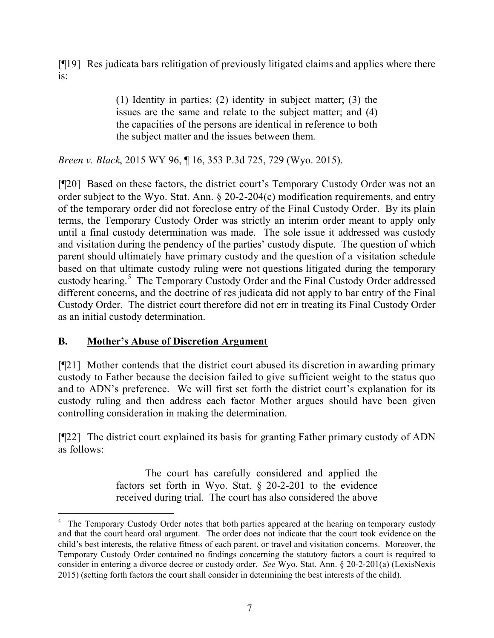[¶19] Res judicata bars relitigation of previously litigated claims and applies where there is:

> (1) Identity in parties; (2) identity in subject matter; (3) the issues are the same and relate to the subject matter; and (4) the capacities of the persons are identical in reference to both the subject matter and the issues between them.

*Breen v. Black*, 2015 WY 96, ¶ 16, 353 P.3d 725, 729 (Wyo. 2015).

[¶20] Based on these factors, the district court's Temporary Custody Order was not an order subject to the Wyo. Stat. Ann. § 20-2-204(c) modification requirements, and entry of the temporary order did not foreclose entry of the Final Custody Order. By its plain terms, the Temporary Custody Order was strictly an interim order meant to apply only until a final custody determination was made. The sole issue it addressed was custody and visitation during the pendency of the parties' custody dispute. The question of which parent should ultimately have primary custody and the question of a visitation schedule based on that ultimate custody ruling were not questions litigated during the temporary custody hearing.<sup>5</sup> The Temporary Custody Order and the Final Custody Order addressed different concerns, and the doctrine of res judicata did not apply to bar entry of the Final Custody Order. The district court therefore did not err in treating its Final Custody Order as an initial custody determination.

# **B. Mother's Abuse of Discretion Argument**

 $\overline{a}$ 

[¶21] Mother contends that the district court abused its discretion in awarding primary custody to Father because the decision failed to give sufficient weight to the status quo and to ADN's preference. We will first set forth the district court's explanation for its custody ruling and then address each factor Mother argues should have been given controlling consideration in making the determination.

[¶22] The district court explained its basis for granting Father primary custody of ADN as follows:

> The court has carefully considered and applied the factors set forth in Wyo. Stat. § 20-2-201 to the evidence received during trial. The court has also considered the above

<sup>&</sup>lt;sup>5</sup> The Temporary Custody Order notes that both parties appeared at the hearing on temporary custody and that the court heard oral argument. The order does not indicate that the court took evidence on the child's best interests, the relative fitness of each parent, or travel and visitation concerns. Moreover, the Temporary Custody Order contained no findings concerning the statutory factors a court is required to consider in entering a divorce decree or custody order. *See* Wyo. Stat. Ann. § 20-2-201(a) (LexisNexis 2015) (setting forth factors the court shall consider in determining the best interests of the child).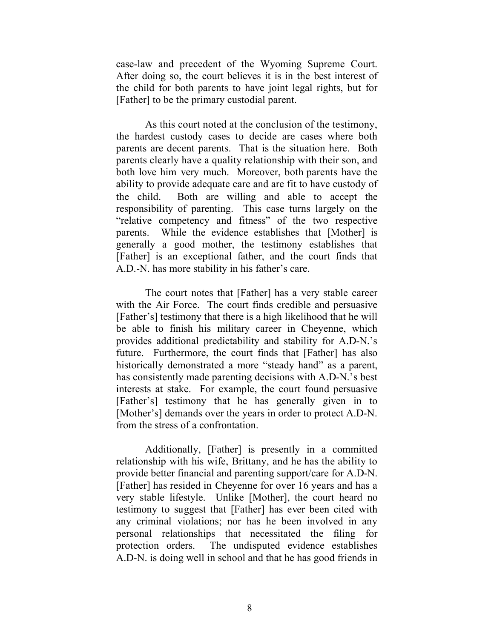case-law and precedent of the Wyoming Supreme Court. After doing so, the court believes it is in the best interest of the child for both parents to have joint legal rights, but for [Father] to be the primary custodial parent.

As this court noted at the conclusion of the testimony, the hardest custody cases to decide are cases where both parents are decent parents. That is the situation here. Both parents clearly have a quality relationship with their son, and both love him very much. Moreover, both parents have the ability to provide adequate care and are fit to have custody of the child. Both are willing and able to accept the responsibility of parenting. This case turns largely on the "relative competency and fitness" of the two respective parents. While the evidence establishes that [Mother] is generally a good mother, the testimony establishes that [Father] is an exceptional father, and the court finds that A.D.-N. has more stability in his father's care.

The court notes that [Father] has a very stable career with the Air Force. The court finds credible and persuasive [Father's] testimony that there is a high likelihood that he will be able to finish his military career in Cheyenne, which provides additional predictability and stability for A.D-N.'s future. Furthermore, the court finds that [Father] has also historically demonstrated a more "steady hand" as a parent, has consistently made parenting decisions with A.D-N.'s best interests at stake. For example, the court found persuasive [Father's] testimony that he has generally given in to [Mother's] demands over the years in order to protect A.D-N. from the stress of a confrontation.

Additionally, [Father] is presently in a committed relationship with his wife, Brittany, and he has the ability to provide better financial and parenting support/care for A.D-N. [Father] has resided in Cheyenne for over 16 years and has a very stable lifestyle. Unlike [Mother], the court heard no testimony to suggest that [Father] has ever been cited with any criminal violations; nor has he been involved in any personal relationships that necessitated the filing for protection orders. The undisputed evidence establishes A.D-N. is doing well in school and that he has good friends in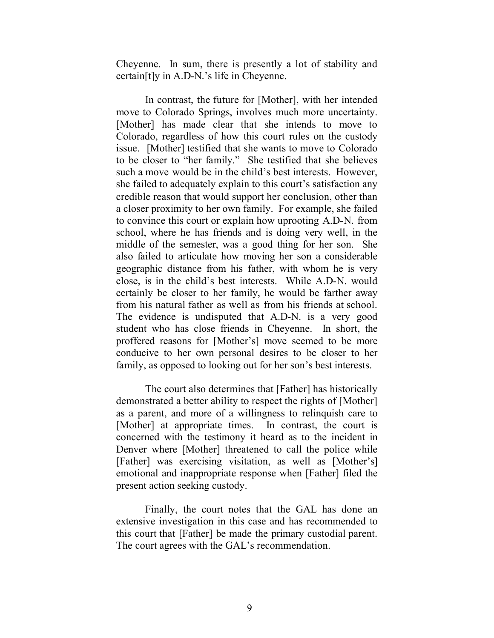Cheyenne. In sum, there is presently a lot of stability and certain[t]y in A.D-N.'s life in Cheyenne.

In contrast, the future for [Mother], with her intended move to Colorado Springs, involves much more uncertainty. [Mother] has made clear that she intends to move to Colorado, regardless of how this court rules on the custody issue. [Mother] testified that she wants to move to Colorado to be closer to "her family." She testified that she believes such a move would be in the child's best interests. However, she failed to adequately explain to this court's satisfaction any credible reason that would support her conclusion, other than a closer proximity to her own family. For example, she failed to convince this court or explain how uprooting A.D-N. from school, where he has friends and is doing very well, in the middle of the semester, was a good thing for her son. She also failed to articulate how moving her son a considerable geographic distance from his father, with whom he is very close, is in the child's best interests. While A.D-N. would certainly be closer to her family, he would be farther away from his natural father as well as from his friends at school. The evidence is undisputed that A.D-N. is a very good student who has close friends in Cheyenne. In short, the proffered reasons for [Mother's] move seemed to be more conducive to her own personal desires to be closer to her family, as opposed to looking out for her son's best interests.

The court also determines that [Father] has historically demonstrated a better ability to respect the rights of [Mother] as a parent, and more of a willingness to relinquish care to [Mother] at appropriate times. In contrast, the court is concerned with the testimony it heard as to the incident in Denver where [Mother] threatened to call the police while [Father] was exercising visitation, as well as [Mother's] emotional and inappropriate response when [Father] filed the present action seeking custody.

Finally, the court notes that the GAL has done an extensive investigation in this case and has recommended to this court that [Father] be made the primary custodial parent. The court agrees with the GAL's recommendation.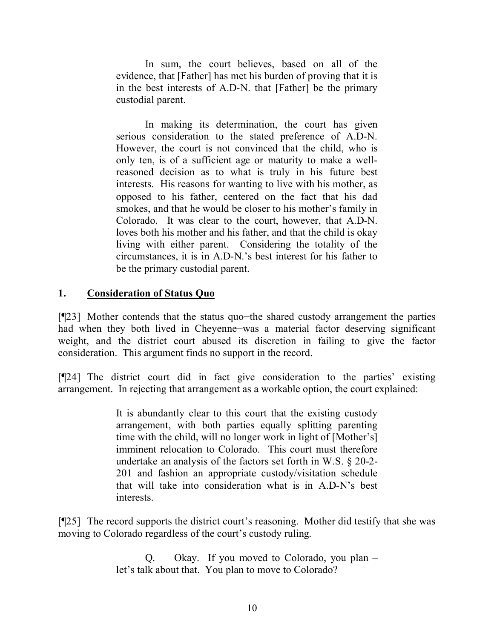In sum, the court believes, based on all of the evidence, that [Father] has met his burden of proving that it is in the best interests of A.D-N. that [Father] be the primary custodial parent.

In making its determination, the court has given serious consideration to the stated preference of A.D-N. However, the court is not convinced that the child, who is only ten, is of a sufficient age or maturity to make a wellreasoned decision as to what is truly in his future best interests. His reasons for wanting to live with his mother, as opposed to his father, centered on the fact that his dad smokes, and that he would be closer to his mother's family in Colorado. It was clear to the court, however, that A.D-N. loves both his mother and his father, and that the child is okay living with either parent. Considering the totality of the circumstances, it is in A.D-N.'s best interest for his father to be the primary custodial parent.

### **1. Consideration of Status Quo**

[¶23] Mother contends that the status quo−the shared custody arrangement the parties had when they both lived in Cheyenne−was a material factor deserving significant weight, and the district court abused its discretion in failing to give the factor consideration. This argument finds no support in the record.

[¶24] The district court did in fact give consideration to the parties' existing arrangement. In rejecting that arrangement as a workable option, the court explained:

> It is abundantly clear to this court that the existing custody arrangement, with both parties equally splitting parenting time with the child, will no longer work in light of [Mother's] imminent relocation to Colorado. This court must therefore undertake an analysis of the factors set forth in W.S. § 20-2- 201 and fashion an appropriate custody/visitation schedule that will take into consideration what is in A.D-N's best interests.

[¶25] The record supports the district court's reasoning. Mother did testify that she was moving to Colorado regardless of the court's custody ruling.

> Q. Okay. If you moved to Colorado, you plan – let's talk about that. You plan to move to Colorado?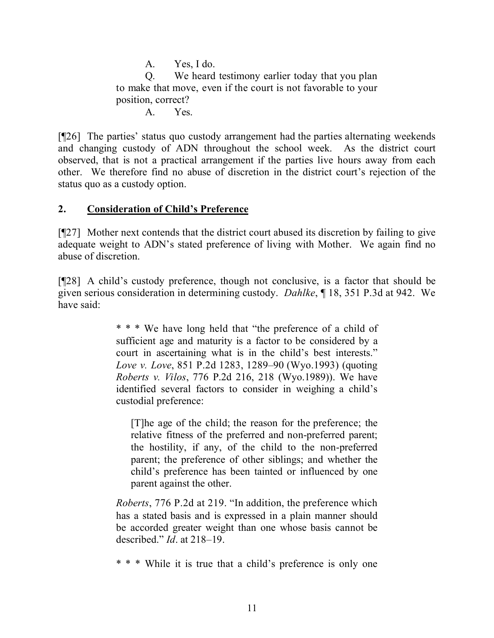A. Yes, I do. Q. We heard testimony earlier today that you plan to make that move, even if the court is not favorable to your position, correct? A. Yes.

[¶26] The parties' status quo custody arrangement had the parties alternating weekends and changing custody of ADN throughout the school week. As the district court observed, that is not a practical arrangement if the parties live hours away from each other. We therefore find no abuse of discretion in the district court's rejection of the status quo as a custody option.

# **2. Consideration of Child's Preference**

[¶27] Mother next contends that the district court abused its discretion by failing to give adequate weight to ADN's stated preference of living with Mother. We again find no abuse of discretion.

[¶28] A child's custody preference, though not conclusive, is a factor that should be given serious consideration in determining custody. *Dahlke*, ¶ 18, 351 P.3d at 942. We have said:

> \* \* \* We have long held that "the preference of a child of sufficient age and maturity is a factor to be considered by a court in ascertaining what is in the child's best interests." *Love v. Love*, 851 P.2d 1283, 1289–90 (Wyo.1993) (quoting *Roberts v. Vilos*, 776 P.2d 216, 218 (Wyo.1989)). We have identified several factors to consider in weighing a child's custodial preference:

[T]he age of the child; the reason for the preference; the relative fitness of the preferred and non-preferred parent; the hostility, if any, of the child to the non-preferred parent; the preference of other siblings; and whether the child's preference has been tainted or influenced by one parent against the other.

*Roberts*, 776 P.2d at 219. "In addition, the preference which has a stated basis and is expressed in a plain manner should be accorded greater weight than one whose basis cannot be described." *Id*. at 218–19.

\* \* \* While it is true that a child's preference is only one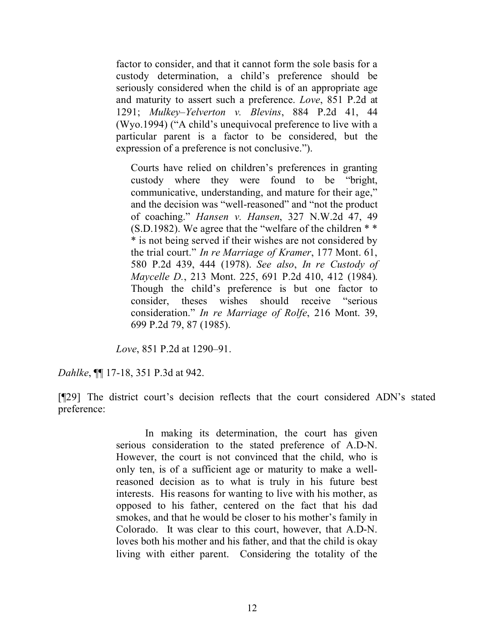factor to consider, and that it cannot form the sole basis for a custody determination, a child's preference should be seriously considered when the child is of an appropriate age and maturity to assert such a preference. *Love*, 851 P.2d at 1291; *Mulkey–Yelverton v. Blevins*, 884 P.2d 41, 44 (Wyo.1994) ("A child's unequivocal preference to live with a particular parent is a factor to be considered, but the expression of a preference is not conclusive.").

Courts have relied on children's preferences in granting custody where they were found to be "bright, communicative, understanding, and mature for their age," and the decision was "well-reasoned" and "not the product of coaching." *Hansen v. Hansen*, 327 N.W.2d 47, 49 (S.D.1982). We agree that the "welfare of the children \* \* \* is not being served if their wishes are not considered by the trial court." *In re Marriage of Kramer*, 177 Mont. 61, 580 P.2d 439, 444 (1978). *See also*, *In re Custody of Maycelle D.*, 213 Mont. 225, 691 P.2d 410, 412 (1984). Though the child's preference is but one factor to consider, theses wishes should receive "serious consideration." *In re Marriage of Rolfe*, 216 Mont. 39, 699 P.2d 79, 87 (1985).

*Love*, 851 P.2d at 1290–91.

*Dahlke*, ¶¶ 17-18, 351 P.3d at 942.

[¶29] The district court's decision reflects that the court considered ADN's stated preference:

> In making its determination, the court has given serious consideration to the stated preference of A.D-N. However, the court is not convinced that the child, who is only ten, is of a sufficient age or maturity to make a wellreasoned decision as to what is truly in his future best interests. His reasons for wanting to live with his mother, as opposed to his father, centered on the fact that his dad smokes, and that he would be closer to his mother's family in Colorado. It was clear to this court, however, that A.D-N. loves both his mother and his father, and that the child is okay living with either parent. Considering the totality of the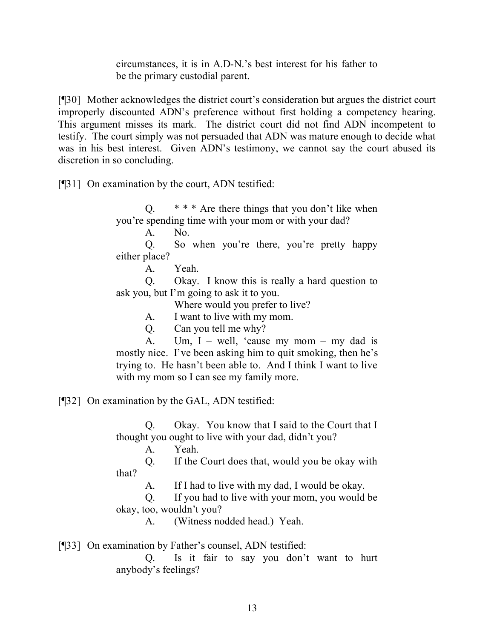circumstances, it is in A.D-N.'s best interest for his father to be the primary custodial parent.

[¶30] Mother acknowledges the district court's consideration but argues the district court improperly discounted ADN's preference without first holding a competency hearing. This argument misses its mark. The district court did not find ADN incompetent to testify. The court simply was not persuaded that ADN was mature enough to decide what was in his best interest. Given ADN's testimony, we cannot say the court abused its discretion in so concluding.

[¶31] On examination by the court, ADN testified:

Q. \* \* \* Are there things that you don't like when you're spending time with your mom or with your dad?

A. No.

Q. So when you're there, you're pretty happy either place?

A. Yeah.

Q. Okay. I know this is really a hard question to ask you, but I'm going to ask it to you.

Where would you prefer to live?

A. I want to live with my mom.

Q. Can you tell me why?

A. Um,  $I - well$ , 'cause my mom – my dad is mostly nice. I've been asking him to quit smoking, then he's trying to. He hasn't been able to. And I think I want to live with my mom so I can see my family more.

[¶32] On examination by the GAL, ADN testified:

Q. Okay. You know that I said to the Court that I thought you ought to live with your dad, didn't you?

A. Yeah.

Q. If the Court does that, would you be okay with that?

A. If I had to live with my dad, I would be okay.

Q. If you had to live with your mom, you would be okay, too, wouldn't you?

A. (Witness nodded head.) Yeah.

[¶33] On examination by Father's counsel, ADN testified:

Q. Is it fair to say you don't want to hurt anybody's feelings?